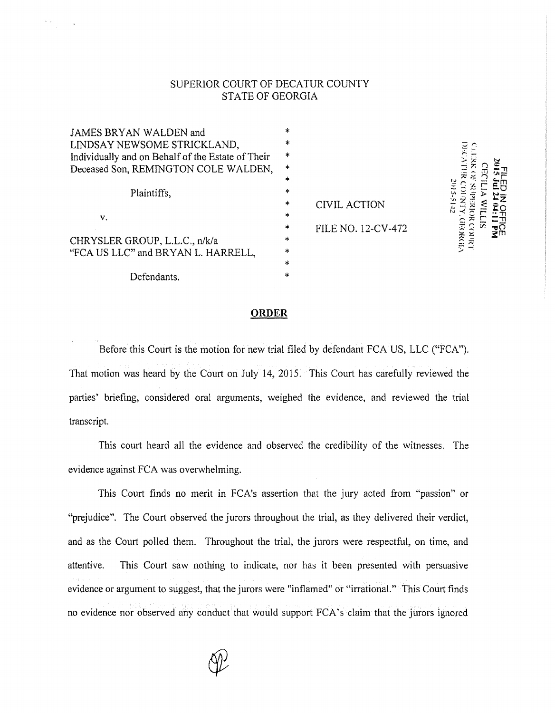## SUPERIOR COURT OF DECATUR COUNTY STATE OF GEORGIA

| JAMES BRYAN WALDEN and                            | *      |
|---------------------------------------------------|--------|
| LINDSAY NEWSOME STRICKLAND,                       | *      |
| Individually and on Behalf of the Estate of Their | *      |
| Deceased Son, REMINGTON COLE WALDEN,              | $\ast$ |
|                                                   | $\ast$ |
| Plaintiffs,                                       | *      |
|                                                   | $\ast$ |
| ν.                                                | $\ast$ |
|                                                   | *      |
| CHRYSLER GROUP, L.L.C., n/k/a                     | *      |
| "FCA US LLC" and BRYAN L. HARRELL,                | *      |
|                                                   | *      |
| Defendants.                                       | *      |

**CIVIL ACTION** FILE NO. 12-CV-472

DECATER COUNTY GEORGE CLERK OF SUPERIOR COURT **CECILIA WILLIS** FUEDED WARD 2015-5105

## **ORDER**

Before this Court is the motion for new trial filed by defendant FCA US, LLC ("FCA"). That motion was heard by the Court on July 14, 2015. This Court has carefully reviewed the parties' briefing, considered oral arguments, weighed the evidence, and reviewed the trial transcript.

This court heard all the evidence and observed the credibility of the witnesses. The evidence against FCA was overwhelming.

This Court finds no merit in FCA's assertion that the jury acted from "passion" or "prejudice". The Court observed the jurors throughout the trial, as they delivered their verdict, and as the Court polled them. Throughout the trial, the jurors were respectful, on time, and attentive. This Court saw nothing to indicate, nor has it been presented with persuasive evidence or argument to suggest, that the jurors were "inflamed" or "irrational." This Court finds no evidence nor observed any conduct that would support FCA's claim that the jurors ignored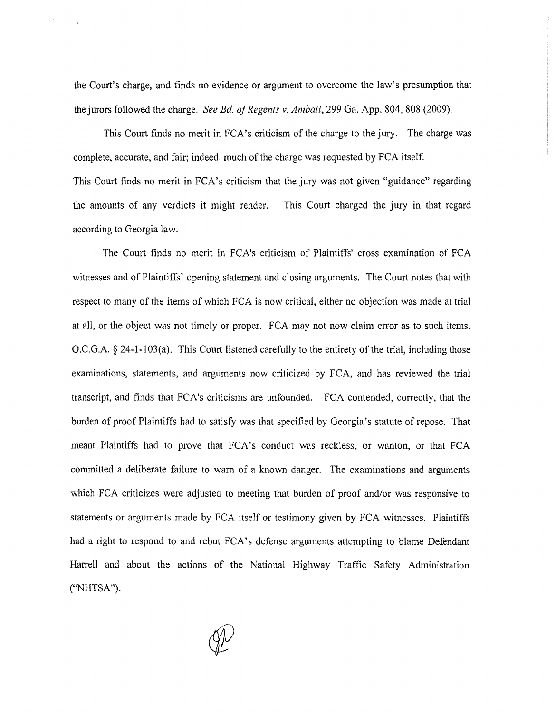the Court's charge, and finds no evidence or argument to overcome the law's presumption that the jurors followed the charge. *See Bd. of Regents v. Ambati,* 299 Ga. App. 804, 808 (2009).

This Court finds no merit in FCA's criticism of the charge to the jury. The charge was complete, accurate, and fair; indeed, much of the charge was requested by FCA itself. This Court finds no merit in FCA's criticism that the jury was not given "guidance" regarding the amounts of any verdicts it might render. This Court charged the jury in that regard according to Georgia law.

The Court finds no merit in FCA's criticism of Plaintiffs' cross examination of FCA witnesses and of Plaintiffs' opening statement and closing arguments. The Court notes that with respect to many of the items of which FCA is now critical, either no objection was made at trial at all, or the object was not timely or proper. FCA may not now claim error as to such items. O.C.G.A. § 24-1-103(a). This Court listened carefully to the entirety of the trial, including those examinations, statements, and arguments now criticized by FCA, and has reviewed the trial transcript, and finds that FCA's criticisms are unfounded. FCA contended, correctly, that the burden of proof Plaintiffs had to satisfy was that specified by Georgia's statute of repose. That meant Plaintiffs had to prove that FCA's conduct was reckless, or wanton, or that FCA committed a deliberate failure to warn of a known danger. The examinations and arguments which FCA criticizes were adjusted to meeting that burden of proof and/or was responsive to statements or arguments made by FCA itself or testimony given by FCA witnesses. Plaintiffs had a right to respond to and rebut FCA's defense arguments attempting to blame Defendant Harrell and about the actions of the National Highway Traffic Safety Administration ("NHTSA").

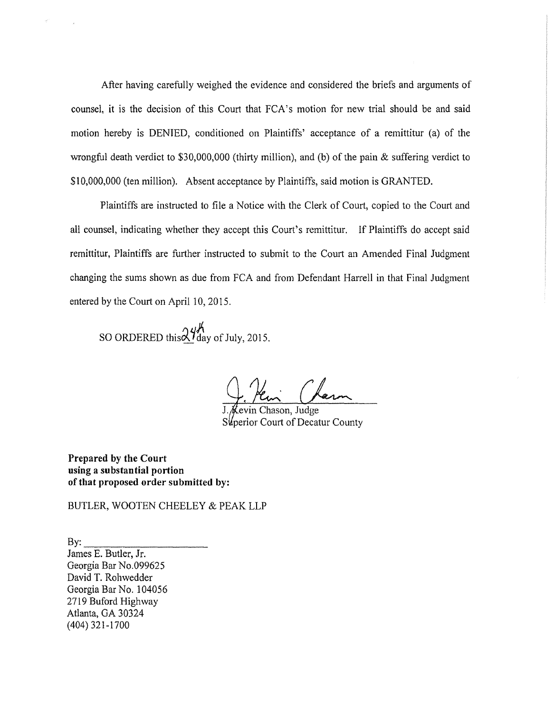After having carefully weighed the evidence and considered the briefs and arguments of counsel, it is the decision of this Court that FCA's motion for new trial should be and said motion hereby is DENIED, conditioned on Plaintiffs' acceptance of a remittitur (a) of the wrongful death verdict to \$30,000,000 (thirty million), and (b) of the pain & suffering verdict to \$10,000,000 (ten million). Absent acceptance by Plaintiffs, said motion is GRANTED.

Plaintiffs are instructed to file a Notice with the Clerk of Court, copied to the Court and all counsel, indicating whether they accept this Court's remittitur. If Plaintiffs do accept said remittitur, Plaintiffs are further instructed to submit to the Court an Amended Final Judgment changing the sums shown as due from FCA and from Defendant Harrell in that Final Judgment entered by the Court on April 10, 2015.

SO ORDERED this  $\mathcal{X}_{\text{day of July, 2015.}}^{\mu \text{A}}$ 

evin Chason, Judge Superior Court of Decatur County

**Prepared by the Court using a substantial portion of that proposed order submitted by:** 

BUTLER, WOOTEN CHEELEY & PEAK LLP

 $Bv:$ James E. Butler, Jr. Georgia Bar No.099625 David T. Rohwedder Georgia Bar No. 104056 2719 Buford Highway Atlanta, GA 30324 (404) 321-1700